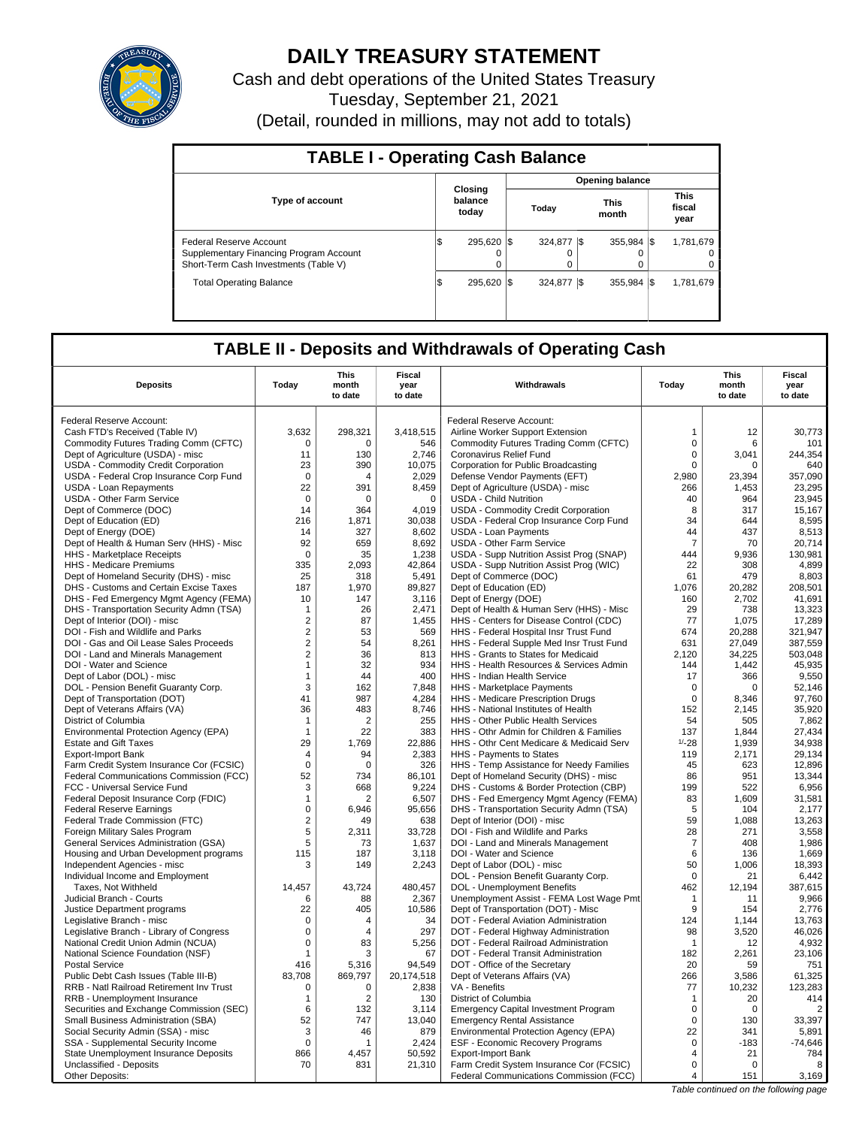

# **DAILY TREASURY STATEMENT**

Cash and debt operations of the United States Treasury Tuesday, September 21, 2021 (Detail, rounded in millions, may not add to totals)

| <b>TABLE I - Operating Cash Balance</b>                                                                            |     |                             |  |              |                 |                      |  |                               |  |  |
|--------------------------------------------------------------------------------------------------------------------|-----|-----------------------------|--|--------------|-----------------|----------------------|--|-------------------------------|--|--|
|                                                                                                                    |     |                             |  |              | Opening balance |                      |  |                               |  |  |
| <b>Type of account</b>                                                                                             |     | Closing<br>balance<br>today |  | Today        |                 | <b>This</b><br>month |  | <b>This</b><br>fiscal<br>year |  |  |
| <b>Federal Reserve Account</b><br>Supplementary Financing Program Account<br>Short-Term Cash Investments (Table V) | I\$ | 295.620 \\$<br>0<br>0       |  | 324.877<br>0 |                 | 355.984 \\$          |  | 1,781,679<br>$\Omega$         |  |  |
| <b>Total Operating Balance</b>                                                                                     | l\$ | 295.620 \\$                 |  | 324.877 \\$  |                 | 355.984 \\$          |  | 1,781,679                     |  |  |

# **TABLE II - Deposits and Withdrawals of Operating Cash**

| <b>Deposits</b>                                                       | Todav             | This<br>month<br>to date | Fiscal<br>year<br>to date | Withdrawals                                                                    | Todav             | This<br>month<br>to date | Fiscal<br>year<br>to date |
|-----------------------------------------------------------------------|-------------------|--------------------------|---------------------------|--------------------------------------------------------------------------------|-------------------|--------------------------|---------------------------|
|                                                                       |                   |                          |                           |                                                                                |                   |                          |                           |
| Federal Reserve Account:                                              |                   |                          |                           | Federal Reserve Account:                                                       |                   |                          |                           |
| Cash FTD's Received (Table IV)                                        | 3,632             | 298,321                  | 3,418,515                 | Airline Worker Support Extension                                               | $\mathbf{1}$      | 12                       | 30,773                    |
| Commodity Futures Trading Comm (CFTC)                                 | $\Omega$          | $\Omega$                 | 546                       | Commodity Futures Trading Comm (CFTC)                                          | $\mathbf 0$       | 6                        | 101                       |
| Dept of Agriculture (USDA) - misc                                     | 11                | 130                      | 2,746                     | Coronavirus Relief Fund                                                        | $\mathsf 0$       | 3,041                    | 244,354                   |
| USDA - Commodity Credit Corporation                                   | 23                | 390                      | 10.075                    | Corporation for Public Broadcasting                                            | $\mathbf 0$       | $\Omega$                 | 640                       |
| USDA - Federal Crop Insurance Corp Fund                               | $\mathbf 0$       | $\overline{4}$           | 2,029                     | Defense Vendor Payments (EFT)                                                  | 2,980             | 23,394                   | 357,090                   |
| USDA - Loan Repayments                                                | 22                | 391                      | 8.459                     | Dept of Agriculture (USDA) - misc                                              | 266               | 1,453                    | 23,295                    |
| <b>USDA - Other Farm Service</b>                                      | $\mathbf 0$<br>14 | 0                        | $\mathbf 0$               | <b>USDA - Child Nutrition</b>                                                  | 40<br>8           | 964                      | 23,945                    |
| Dept of Commerce (DOC)<br>Dept of Education (ED)                      | 216               | 364<br>1,871             | 4,019<br>30,038           | USDA - Commodity Credit Corporation<br>USDA - Federal Crop Insurance Corp Fund | 34                | 317<br>644               | 15,167<br>8,595           |
| Dept of Energy (DOE)                                                  | 14                | 327                      | 8,602                     | <b>USDA - Loan Payments</b>                                                    | 44                | 437                      | 8,513                     |
| Dept of Health & Human Serv (HHS) - Misc                              | 92                | 659                      | 8,692                     | <b>USDA - Other Farm Service</b>                                               | $\overline{7}$    | 70                       | 20,714                    |
|                                                                       | $\mathbf 0$       | 35                       | 1,238                     | USDA - Supp Nutrition Assist Prog (SNAP)                                       | 444               | 9.936                    | 130.981                   |
| HHS - Marketplace Receipts<br>HHS - Medicare Premiums                 | 335               | 2,093                    | 42,864                    | USDA - Supp Nutrition Assist Prog (WIC)                                        | 22                | 308                      | 4,899                     |
| Dept of Homeland Security (DHS) - misc                                | 25                | 318                      | 5,491                     | Dept of Commerce (DOC)                                                         | 61                | 479                      | 8,803                     |
| DHS - Customs and Certain Excise Taxes                                | 187               | 1,970                    | 89,827                    | Dept of Education (ED)                                                         | 1,076             | 20,282                   | 208,501                   |
| DHS - Fed Emergency Mgmt Agency (FEMA)                                | 10                | 147                      | 3.116                     | Dept of Energy (DOE)                                                           | 160               | 2.702                    | 41.691                    |
| DHS - Transportation Security Admn (TSA)                              | $\mathbf 1$       | 26                       | 2,471                     | Dept of Health & Human Serv (HHS) - Misc                                       | 29                | 738                      | 13,323                    |
| Dept of Interior (DOI) - misc                                         | $\overline{2}$    | 87                       | 1.455                     | HHS - Centers for Disease Control (CDC)                                        | 77                | 1.075                    | 17,289                    |
| DOI - Fish and Wildlife and Parks                                     | $\overline{2}$    | 53                       | 569                       | HHS - Federal Hospital Insr Trust Fund                                         | 674               | 20,288                   | 321,947                   |
| DOI - Gas and Oil Lease Sales Proceeds                                | $\mathbf 2$       | 54                       | 8.261                     | HHS - Federal Supple Med Insr Trust Fund                                       | 631               | 27.049                   | 387.559                   |
| DOI - Land and Minerals Management                                    | $\overline{2}$    | 36                       | 813                       | HHS - Grants to States for Medicaid                                            | 2,120             | 34,225                   | 503,048                   |
| DOI - Water and Science                                               | $\mathbf{1}$      | 32                       | 934                       | HHS - Health Resources & Services Admin                                        | 144               | 1,442                    | 45,935                    |
| Dept of Labor (DOL) - misc                                            | $\mathbf{1}$      | 44                       | 400                       | <b>HHS - Indian Health Service</b>                                             | 17                | 366                      | 9,550                     |
| DOL - Pension Benefit Guaranty Corp.                                  | 3                 | 162                      | 7,848                     | HHS - Marketplace Payments                                                     | $\mathbf 0$       | $\Omega$                 | 52,146                    |
| Dept of Transportation (DOT)                                          | 41                | 987                      | 4,284                     | HHS - Medicare Prescription Drugs                                              | $\mathbf 0$       | 8.346                    | 97,760                    |
| Dept of Veterans Affairs (VA)                                         | 36                | 483                      | 8.746                     | HHS - National Institutes of Health                                            | 152               | 2.145                    | 35.920                    |
| District of Columbia                                                  | $\mathbf{1}$      | $\overline{2}$           | 255                       | HHS - Other Public Health Services                                             | 54                | 505                      | 7,862                     |
| Environmental Protection Agency (EPA)                                 | $\mathbf{1}$      | 22                       | 383                       | HHS - Othr Admin for Children & Families                                       | 137               | 1,844                    | 27,434                    |
| <b>Estate and Gift Taxes</b>                                          | 29                | 1,769                    | 22,886                    | HHS - Othr Cent Medicare & Medicaid Serv                                       | $1/-28$           | 1,939                    | 34,938                    |
| <b>Export-Import Bank</b>                                             | 4                 | 94                       | 2.383                     | HHS - Payments to States                                                       | 119               | 2.171                    | 29.134                    |
| Farm Credit System Insurance Cor (FCSIC)                              | $\mathsf 0$       | $\mathbf 0$              | 326                       | HHS - Temp Assistance for Needy Families                                       | 45                | 623                      | 12,896                    |
| Federal Communications Commission (FCC)                               | 52                | 734                      | 86,101                    | Dept of Homeland Security (DHS) - misc                                         | 86                | 951                      | 13.344                    |
| FCC - Universal Service Fund                                          | 3                 | 668                      | 9,224                     | DHS - Customs & Border Protection (CBP)                                        | 199               | 522                      | 6,956                     |
| Federal Deposit Insurance Corp (FDIC)                                 | $\mathbf{1}$      | 2                        | 6,507                     | DHS - Fed Emergency Mgmt Agency (FEMA)                                         | 83                | 1,609                    | 31,581                    |
| <b>Federal Reserve Earnings</b>                                       | $\mathsf 0$       | 6,946                    | 95,656                    | DHS - Transportation Security Admn (TSA)                                       | 5                 | 104                      | 2,177                     |
| Federal Trade Commission (FTC)                                        | 2                 | 49                       | 638                       | Dept of Interior (DOI) - misc                                                  | 59                | 1,088                    | 13,263                    |
| Foreign Military Sales Program                                        | 5                 | 2,311                    | 33,728                    | DOI - Fish and Wildlife and Parks                                              | 28                | 271                      | 3,558                     |
| General Services Administration (GSA)                                 | 5                 | 73                       | 1,637                     | DOI - Land and Minerals Management                                             | $\overline{7}$    | 408                      | 1,986                     |
| Housing and Urban Development programs                                | 115               | 187                      | 3,118                     | DOI - Water and Science                                                        | 6                 | 136                      | 1,669                     |
| Independent Agencies - misc                                           | 3                 | 149                      | 2,243                     | Dept of Labor (DOL) - misc                                                     | 50                | 1.006                    | 18,393                    |
| Individual Income and Employment                                      |                   |                          |                           | DOL - Pension Benefit Guaranty Corp.                                           | $\mathbf 0$       | 21                       | 6,442                     |
| Taxes. Not Withheld                                                   | 14.457            | 43.724                   | 480.457                   | DOL - Unemployment Benefits                                                    | 462               | 12.194                   | 387.615                   |
| Judicial Branch - Courts                                              | 6<br>22           | 88<br>405                | 2,367<br>10.586           | Unemployment Assist - FEMA Lost Wage Pmt                                       | $\mathbf{1}$<br>9 | 11<br>154                | 9,966                     |
| Justice Department programs                                           | $\mathbf 0$       | 4                        | 34                        | Dept of Transportation (DOT) - Misc<br>DOT - Federal Aviation Administration   | 124               | 1,144                    | 2,776<br>13,763           |
| Legislative Branch - misc<br>Legislative Branch - Library of Congress | $\Omega$          | $\overline{4}$           | 297                       | DOT - Federal Highway Administration                                           | 98                | 3,520                    | 46.026                    |
| National Credit Union Admin (NCUA)                                    | $\mathsf 0$       | 83                       | 5,256                     | DOT - Federal Railroad Administration                                          | $\mathbf{1}$      | 12                       | 4,932                     |
| National Science Foundation (NSF)                                     | $\mathbf{1}$      | 3                        | 67                        | DOT - Federal Transit Administration                                           | 182               | 2,261                    | 23,106                    |
| <b>Postal Service</b>                                                 | 416               | 5,316                    | 94,549                    | DOT - Office of the Secretary                                                  | 20                | 59                       | 751                       |
| Public Debt Cash Issues (Table III-B)                                 | 83,708            | 869,797                  | 20,174,518                | Dept of Veterans Affairs (VA)                                                  | 266               | 3,586                    | 61,325                    |
| RRB - Natl Railroad Retirement Inv Trust                              | $\mathbf 0$       | $\mathbf 0$              | 2,838                     | VA - Benefits                                                                  | 77                | 10,232                   | 123,283                   |
| RRB - Unemployment Insurance                                          | 1                 | $\overline{2}$           | 130                       | District of Columbia                                                           | $\mathbf{1}$      | 20                       | 414                       |
| Securities and Exchange Commission (SEC)                              | 6                 | 132                      | 3.114                     | <b>Emergency Capital Investment Program</b>                                    | $\Omega$          | $\Omega$                 | $\overline{2}$            |
| Small Business Administration (SBA)                                   | 52                | 747                      | 13,040                    | <b>Emergency Rental Assistance</b>                                             | $\mathbf 0$       | 130                      | 33,397                    |
| Social Security Admin (SSA) - misc                                    | 3                 | 46                       | 879                       | Environmental Protection Agency (EPA)                                          | 22                | 341                      | 5,891                     |
| SSA - Supplemental Security Income                                    | $\mathbf 0$       | 1                        | 2.424                     | ESF - Economic Recovery Programs                                               | $\mathbf 0$       | $-183$                   | $-74.646$                 |
| State Unemployment Insurance Deposits                                 | 866               | 4,457                    | 50,592                    | <b>Export-Import Bank</b>                                                      | $\overline{4}$    | 21                       | 784                       |
| Unclassified - Deposits                                               | 70                | 831                      | 21,310                    | Farm Credit System Insurance Cor (FCSIC)                                       | $\Omega$          | $\Omega$                 | 8                         |
| Other Deposits:                                                       |                   |                          |                           | Federal Communications Commission (FCC)                                        | $\overline{4}$    | 151                      | 3,169                     |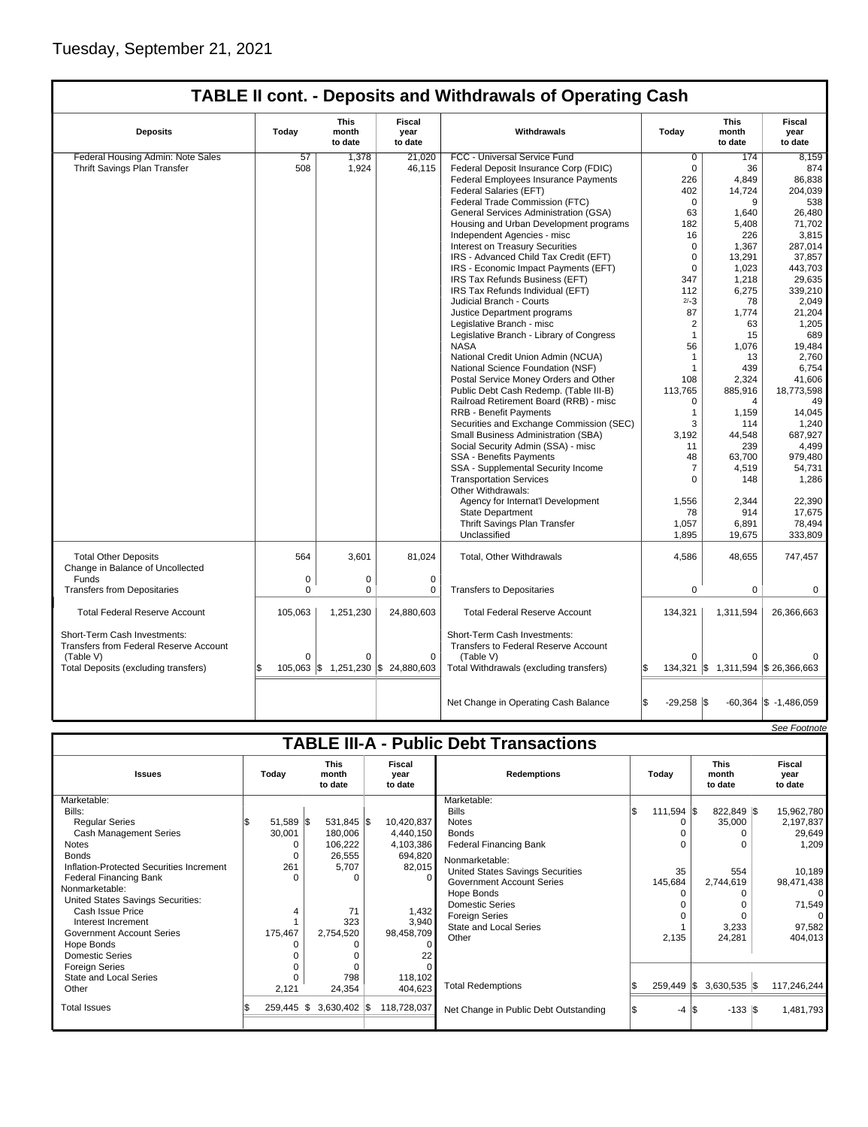$\mathsf{l}$ 

## **TABLE II cont. - Deposits and Withdrawals of Operating Cash**

| <b>Deposits</b>                                                                                                                    | Today             | This<br>month<br>to date | Fiscal<br>year<br>to date                       | Withdrawals                                                                                                                         | Today               | <b>This</b><br>month<br>to date                | Fiscal<br>year<br>to date |
|------------------------------------------------------------------------------------------------------------------------------------|-------------------|--------------------------|-------------------------------------------------|-------------------------------------------------------------------------------------------------------------------------------------|---------------------|------------------------------------------------|---------------------------|
| Federal Housing Admin: Note Sales                                                                                                  | 57                | 1,378                    | 21.020                                          | FCC - Universal Service Fund                                                                                                        | $\overline{0}$      | 174                                            | 8.159                     |
| Thrift Savings Plan Transfer                                                                                                       | 508               | 1,924                    | 46,115                                          | Federal Deposit Insurance Corp (FDIC)                                                                                               | $\mathbf 0$         | 36                                             | 874                       |
|                                                                                                                                    |                   |                          |                                                 | Federal Employees Insurance Payments                                                                                                | 226                 | 4,849                                          | 86,838                    |
|                                                                                                                                    |                   |                          |                                                 | Federal Salaries (EFT)                                                                                                              | 402                 | 14,724                                         | 204,039                   |
|                                                                                                                                    |                   |                          |                                                 | Federal Trade Commission (FTC)                                                                                                      | 0                   | 9                                              | 538                       |
|                                                                                                                                    |                   |                          |                                                 | General Services Administration (GSA)                                                                                               | 63                  | 1.640                                          | 26,480                    |
|                                                                                                                                    |                   |                          |                                                 | Housing and Urban Development programs                                                                                              | 182                 | 5,408                                          | 71,702                    |
|                                                                                                                                    |                   |                          |                                                 | Independent Agencies - misc                                                                                                         | 16                  | 226                                            | 3,815                     |
|                                                                                                                                    |                   |                          |                                                 | Interest on Treasury Securities                                                                                                     | 0                   | 1,367                                          | 287,014                   |
|                                                                                                                                    |                   |                          |                                                 | IRS - Advanced Child Tax Credit (EFT)                                                                                               | 0                   | 13,291                                         | 37,857                    |
|                                                                                                                                    |                   |                          |                                                 | IRS - Economic Impact Payments (EFT)                                                                                                | $\mathbf 0$         | 1,023                                          | 443.703                   |
|                                                                                                                                    |                   |                          |                                                 | IRS Tax Refunds Business (EFT)                                                                                                      | 347                 | 1,218                                          | 29,635                    |
|                                                                                                                                    |                   |                          |                                                 | IRS Tax Refunds Individual (EFT)                                                                                                    | 112                 | 6,275                                          | 339,210                   |
|                                                                                                                                    |                   |                          |                                                 | Judicial Branch - Courts                                                                                                            | $2/-3$              | 78                                             | 2,049                     |
|                                                                                                                                    |                   |                          |                                                 | Justice Department programs                                                                                                         | 87                  | 1,774                                          | 21,204                    |
|                                                                                                                                    |                   |                          |                                                 | Legislative Branch - misc                                                                                                           | $\overline{2}$      | 63                                             | 1,205                     |
|                                                                                                                                    |                   |                          |                                                 | Legislative Branch - Library of Congress                                                                                            | $\mathbf{1}$        | 15                                             | 689                       |
|                                                                                                                                    |                   |                          |                                                 | <b>NASA</b>                                                                                                                         | 56                  | 1,076                                          | 19,484                    |
|                                                                                                                                    |                   |                          |                                                 | National Credit Union Admin (NCUA)                                                                                                  | $\mathbf{1}$        | 13                                             | 2,760                     |
|                                                                                                                                    |                   |                          |                                                 | National Science Foundation (NSF)                                                                                                   | 1                   | 439                                            | 6,754                     |
|                                                                                                                                    |                   |                          |                                                 | Postal Service Money Orders and Other                                                                                               | 108                 | 2.324                                          | 41,606                    |
|                                                                                                                                    |                   |                          |                                                 | Public Debt Cash Redemp. (Table III-B)                                                                                              | 113,765             | 885,916                                        | 18,773,598                |
|                                                                                                                                    |                   |                          |                                                 | Railroad Retirement Board (RRB) - misc                                                                                              | 0                   | $\overline{4}$                                 | 49                        |
|                                                                                                                                    |                   |                          |                                                 | <b>RRB - Benefit Payments</b>                                                                                                       | 1                   | 1,159                                          | 14,045                    |
|                                                                                                                                    |                   |                          |                                                 | Securities and Exchange Commission (SEC)                                                                                            | 3                   | 114                                            | 1,240                     |
|                                                                                                                                    |                   |                          |                                                 | Small Business Administration (SBA)                                                                                                 | 3.192               | 44,548                                         | 687,927                   |
|                                                                                                                                    |                   |                          |                                                 | Social Security Admin (SSA) - misc                                                                                                  | 11                  | 239                                            | 4,499                     |
|                                                                                                                                    |                   |                          |                                                 | <b>SSA - Benefits Payments</b>                                                                                                      | 48                  | 63,700                                         | 979,480                   |
|                                                                                                                                    |                   |                          |                                                 | SSA - Supplemental Security Income                                                                                                  | 7                   | 4,519                                          | 54,731                    |
|                                                                                                                                    |                   |                          |                                                 | <b>Transportation Services</b><br>Other Withdrawals:                                                                                | $\Omega$            | 148                                            | 1,286                     |
|                                                                                                                                    |                   |                          |                                                 | Agency for Internat'l Development                                                                                                   | 1,556               | 2,344                                          | 22,390                    |
|                                                                                                                                    |                   |                          |                                                 | <b>State Department</b>                                                                                                             | 78                  | 914                                            | 17,675                    |
|                                                                                                                                    |                   |                          |                                                 | Thrift Savings Plan Transfer                                                                                                        | 1,057               | 6,891                                          | 78,494                    |
|                                                                                                                                    |                   |                          |                                                 | Unclassified                                                                                                                        | 1,895               | 19,675                                         | 333,809                   |
| <b>Total Other Deposits</b><br>Change in Balance of Uncollected                                                                    | 564               | 3,601                    | 81,024                                          | Total, Other Withdrawals                                                                                                            | 4,586               | 48,655                                         | 747,457                   |
| Funds                                                                                                                              | $\mathbf 0$       | $\Omega$                 | $\mathbf 0$                                     |                                                                                                                                     |                     |                                                |                           |
| <b>Transfers from Depositaries</b>                                                                                                 | $\Omega$          | $\Omega$                 | $\Omega$                                        | <b>Transfers to Depositaries</b>                                                                                                    | 0                   | $\mathbf 0$                                    | $\Omega$                  |
| <b>Total Federal Reserve Account</b>                                                                                               | 105,063           | 1,251,230                | 24,880,603                                      | <b>Total Federal Reserve Account</b>                                                                                                | 134,321             | 1,311,594                                      | 26,366,663                |
| Short-Term Cash Investments:<br><b>Transfers from Federal Reserve Account</b><br>(Table V)<br>Total Deposits (excluding transfers) | $\mathbf 0$<br>\$ | 0                        | $\mathbf 0$<br>105,063 \$1,251,230 \$24,880,603 | Short-Term Cash Investments:<br><b>Transfers to Federal Reserve Account</b><br>(Table V)<br>Total Withdrawals (excluding transfers) | $\Omega$            | $\Omega$<br>134,321 \$ 1,311,594 \$ 26,366,663 |                           |
|                                                                                                                                    |                   |                          |                                                 |                                                                                                                                     |                     |                                                |                           |
|                                                                                                                                    |                   |                          |                                                 | Net Change in Operating Cash Balance                                                                                                | ß.<br>$-29,258$ \\$ |                                                | $-60,364$ \$ $-1,486,059$ |

|                                               |  |               |  |                                 |  |                           |                                         |     |                           |  |                                 |  | See Footnote              |
|-----------------------------------------------|--|---------------|--|---------------------------------|--|---------------------------|-----------------------------------------|-----|---------------------------|--|---------------------------------|--|---------------------------|
| <b>TABLE III-A - Public Debt Transactions</b> |  |               |  |                                 |  |                           |                                         |     |                           |  |                                 |  |                           |
| <b>Issues</b>                                 |  | Today         |  | <b>This</b><br>month<br>to date |  | Fiscal<br>vear<br>to date | <b>Redemptions</b>                      |     | Todav                     |  | <b>This</b><br>month<br>to date |  | Fiscal<br>year<br>to date |
| Marketable:                                   |  |               |  |                                 |  |                           | Marketable:                             |     |                           |  |                                 |  |                           |
| Bills:                                        |  |               |  |                                 |  |                           | <b>Bills</b>                            | l\$ | 111,594 \$                |  | 822,849 \$                      |  | 15,962,780                |
| <b>Regular Series</b>                         |  | $51,589$ \\$  |  | 531,845 \$                      |  | 10,420,837                | <b>Notes</b>                            |     | 0                         |  | 35,000                          |  | 2,197,837                 |
| <b>Cash Management Series</b>                 |  | 30,001        |  | 180,006                         |  | 4,440,150                 | <b>Bonds</b>                            |     |                           |  |                                 |  | 29,649                    |
| Notes                                         |  |               |  | 106,222                         |  | 4,103,386                 | <b>Federal Financing Bank</b>           |     |                           |  |                                 |  | 1,209                     |
| <b>Bonds</b>                                  |  |               |  | 26,555                          |  | 694,820                   | Nonmarketable:                          |     |                           |  |                                 |  |                           |
| Inflation-Protected Securities Increment      |  | 261           |  | 5,707                           |  | 82,015                    | <b>United States Savings Securities</b> |     | 35                        |  | 554                             |  | 10,189                    |
| <b>Federal Financing Bank</b>                 |  |               |  | $\Omega$                        |  | $\Omega$                  | Government Account Series               |     | 145,684                   |  | 2,744,619                       |  | 98,471,438                |
| Nonmarketable:                                |  |               |  |                                 |  |                           | Hope Bonds                              |     |                           |  |                                 |  | 0                         |
| United States Savings Securities:             |  |               |  |                                 |  |                           | <b>Domestic Series</b>                  |     |                           |  |                                 |  | 71,549                    |
| Cash Issue Price                              |  |               |  | 71                              |  | 1,432                     | <b>Foreign Series</b>                   |     |                           |  |                                 |  |                           |
| Interest Increment                            |  |               |  | 323                             |  | 3,940                     | <b>State and Local Series</b>           |     |                           |  | 3,233                           |  | 97,582                    |
| <b>Government Account Series</b>              |  | 175,467       |  | 2,754,520                       |  | 98,458,709                | Other                                   |     | 2,135                     |  | 24,281                          |  | 404,013                   |
| Hope Bonds                                    |  |               |  | O                               |  | 0                         |                                         |     |                           |  |                                 |  |                           |
| <b>Domestic Series</b>                        |  |               |  | O                               |  | 22                        |                                         |     |                           |  |                                 |  |                           |
| Foreign Series                                |  |               |  | $\Omega$                        |  |                           |                                         |     |                           |  |                                 |  |                           |
| State and Local Series                        |  |               |  | 798                             |  | 118,102                   |                                         |     |                           |  |                                 |  |                           |
| Other                                         |  | 2,121         |  | 24,354                          |  | 404,623                   | <b>Total Redemptions</b>                |     | $259,449$ \\$             |  | $3,630,535$ \$                  |  | 117,246,244               |
| <b>Total Issues</b>                           |  | $259.445$ \\$ |  | $3,630,402$ \\$                 |  | 118,728,037               | Net Change in Public Debt Outstanding   |     | $-4$ $\overline{\text{}}$ |  | $-133$ $\sqrt{3}$               |  | 1,481,793                 |
|                                               |  |               |  |                                 |  |                           |                                         |     |                           |  |                                 |  |                           |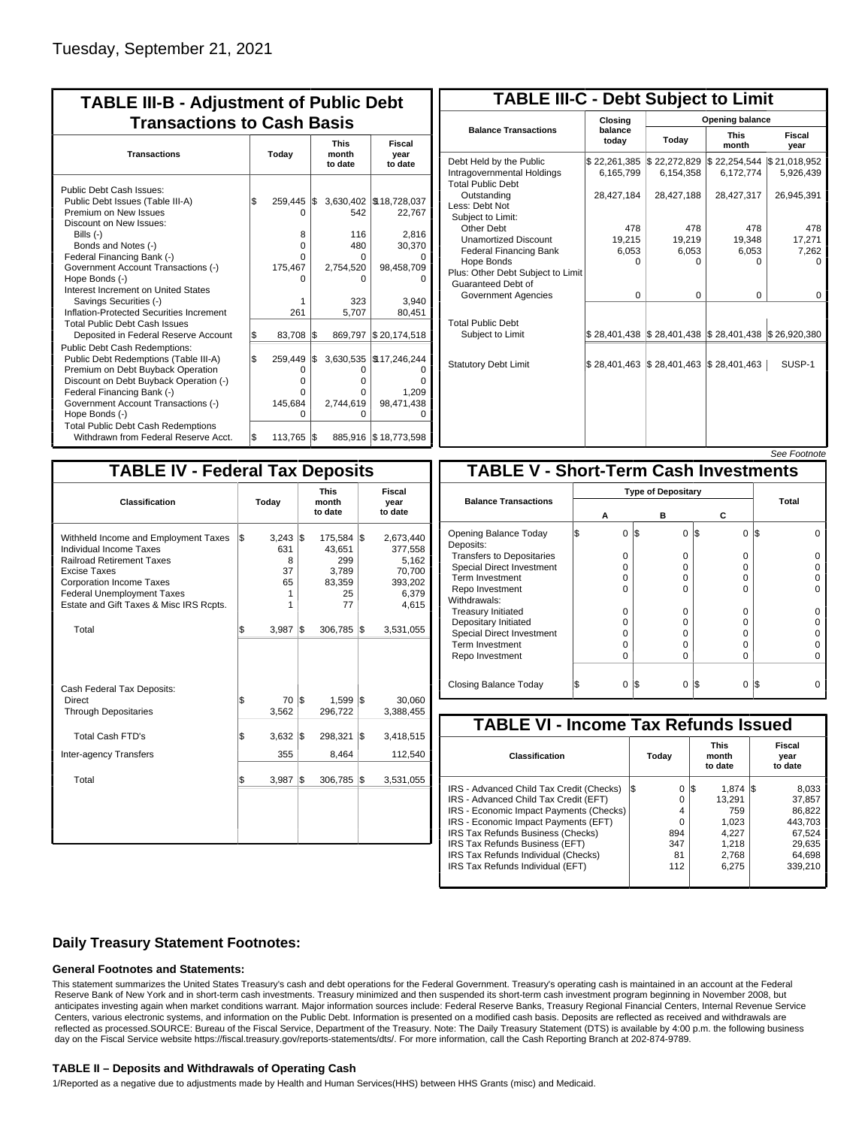| <b>TABLE III-B - Adjustment of Public Debt</b><br><b>Transactions to Cash Basis</b>                                |       |                        |     |                                 |                                    |
|--------------------------------------------------------------------------------------------------------------------|-------|------------------------|-----|---------------------------------|------------------------------------|
| <b>Transactions</b>                                                                                                | Today |                        |     | <b>This</b><br>month<br>to date | Fiscal<br>year<br>to date          |
| Public Debt Cash Issues:<br>Public Debt Issues (Table III-A)<br>Premium on New Issues                              | \$    | 259,445 \$<br>n        |     | 542                             | 3,630,402   \$18,728,037<br>22,767 |
| Discount on New Issues:<br>Bills (-)<br>Bonds and Notes (-)<br>Federal Financing Bank (-)                          |       | 8<br>0<br>o            |     | 116<br>480<br>0                 | 2,816<br>30,370                    |
| Government Account Transactions (-)<br>Hope Bonds (-)<br>Interest Increment on United States                       |       | 175,467                |     | 2,754,520<br>O                  | 98,458,709                         |
| Savings Securities (-)<br>Inflation-Protected Securities Increment<br><b>Total Public Debt Cash Issues</b>         |       | 1<br>261               |     | 323<br>5,707                    | 3.940<br>80,451                    |
| Deposited in Federal Reserve Account                                                                               | Ŝ.    | 83,708                 | 1\$ | 869,797                         | \$20,174,518                       |
| <b>Public Debt Cash Redemptions:</b><br>Public Debt Redemptions (Table III-A)<br>Premium on Debt Buyback Operation | l\$   | 259,449<br>0           | l\$ | 3,630,535<br>O                  | \$17,246,244<br>Ω                  |
| Discount on Debt Buyback Operation (-)<br>Federal Financing Bank (-)<br>Government Account Transactions (-)        |       | 0<br>n<br>145,684<br>O |     | 0<br>0<br>2,744,619             | n<br>1,209<br>98,471,438<br>ŋ      |
| Hope Bonds (-)<br><b>Total Public Debt Cash Redemptions</b><br>Withdrawn from Federal Reserve Acct.                | l\$   | 113,765 \$             |     | O                               | 885,916 \$18,773,598               |

| <b>TABLE III-C - Debt Subject to Limit</b>                                        |                           |                                                           |                           |                           |  |  |  |  |  |
|-----------------------------------------------------------------------------------|---------------------------|-----------------------------------------------------------|---------------------------|---------------------------|--|--|--|--|--|
|                                                                                   | Closing                   | Opening balance                                           |                           |                           |  |  |  |  |  |
| <b>Balance Transactions</b>                                                       | balance<br>todav          | Today                                                     | <b>This</b><br>month      | Fiscal<br>year            |  |  |  |  |  |
| Debt Held by the Public<br>Intragovernmental Holdings<br><b>Total Public Debt</b> | \$22,261,385<br>6,165,799 | \$22,272,829<br>6.154.358                                 | \$22,254,544<br>6,172,774 | \$21,018,952<br>5,926,439 |  |  |  |  |  |
| Outstanding<br>Less: Debt Not<br>Subiect to Limit:                                | 28,427,184                | 28,427,188                                                | 28,427,317                | 26,945,391                |  |  |  |  |  |
| Other Debt                                                                        | 478                       | 478                                                       | 478                       | 478                       |  |  |  |  |  |
| <b>Unamortized Discount</b>                                                       | 19,215                    | 19,219                                                    | 19,348                    | 17,271                    |  |  |  |  |  |
| <b>Federal Financing Bank</b>                                                     | 6,053                     | 6,053                                                     | 6,053                     | 7,262                     |  |  |  |  |  |
| Hope Bonds<br>Plus: Other Debt Subject to Limit<br>Guaranteed Debt of             | 0                         | O                                                         | 0                         | o                         |  |  |  |  |  |
| Government Agencies                                                               | $\Omega$                  | $\Omega$                                                  | $\Omega$                  | 0                         |  |  |  |  |  |
| <b>Total Public Debt</b><br>Subject to Limit                                      |                           | \$28,401,438   \$28,401,438   \$28,401,438   \$26,920,380 |                           |                           |  |  |  |  |  |
| <b>Statutory Debt Limit</b>                                                       | \$28,401,463              | \$28,401,463                                              | \$28,401,463              | SUSP-1                    |  |  |  |  |  |
|                                                                                   |                           |                                                           |                           |                           |  |  |  |  |  |

See Footnote

| <b>TABLE IV - Federal Tax Deposits</b>                                                                                                                                                                                                        |                                                     |                                                            |                                                                      |
|-----------------------------------------------------------------------------------------------------------------------------------------------------------------------------------------------------------------------------------------------|-----------------------------------------------------|------------------------------------------------------------|----------------------------------------------------------------------|
| Classification                                                                                                                                                                                                                                | Today                                               | <b>This</b><br>month<br>to date                            | Fiscal<br>year<br>to date                                            |
| Withheld Income and Employment Taxes<br>Individual Income Taxes<br><b>Railroad Retirement Taxes</b><br><b>Excise Taxes</b><br><b>Corporation Income Taxes</b><br><b>Federal Unemployment Taxes</b><br>Estate and Gift Taxes & Misc IRS Rcpts. | \$<br>$3,243$ \\$<br>631<br>8<br>37<br>65<br>1<br>1 | 175,584 \$<br>43.651<br>299<br>3.789<br>83,359<br>25<br>77 | 2,673,440<br>377,558<br>5,162<br>70,700<br>393,202<br>6,379<br>4,615 |
| Total                                                                                                                                                                                                                                         | \$<br>3,987                                         | 1\$<br>306,785                                             | 1\$<br>3,531,055                                                     |
| Cash Federal Tax Deposits:<br>Direct<br><b>Through Depositaries</b>                                                                                                                                                                           | \$<br>70 IS<br>3,562                                | $1.599$ $\sqrt{5}$<br>296,722                              | 30,060<br>3,388,455                                                  |
| <b>Total Cash FTD's</b>                                                                                                                                                                                                                       | Ŝ.<br>3,632                                         | 1\$<br>298,321                                             | 1\$<br>3,418,515                                                     |
| Inter-agency Transfers                                                                                                                                                                                                                        | 355                                                 | 8,464                                                      | 112,540                                                              |
| Total                                                                                                                                                                                                                                         | l\$<br>3,987                                        | l\$<br>306,785                                             | 1\$<br>3,531,055                                                     |
|                                                                                                                                                                                                                                               |                                                     |                                                            |                                                                      |

|                                              |    |   |     |          |          | <i><b>JEE FUULIUIE</b></i> |  |  |  |  |
|----------------------------------------------|----|---|-----|----------|----------|----------------------------|--|--|--|--|
| <b>TABLE V - Short-Term Cash Investments</b> |    |   |     |          |          |                            |  |  |  |  |
|                                              |    |   |     |          |          |                            |  |  |  |  |
| <b>Balance Transactions</b>                  | А  |   | в   |          | С        | Total                      |  |  |  |  |
| Opening Balance Today<br>Deposits:           | \$ | 0 | 1\$ | $\Omega$ | 0<br>I\$ | I\$                        |  |  |  |  |
| <b>Transfers to Depositaries</b>             |    | O |     | 0        | 0        |                            |  |  |  |  |
| Special Direct Investment                    |    | O |     | 0        | 0        |                            |  |  |  |  |
| Term Investment                              |    | O |     | 0        | 0        |                            |  |  |  |  |
| Repo Investment                              |    | O |     | 0        | O        |                            |  |  |  |  |
| Withdrawals:                                 |    |   |     |          |          |                            |  |  |  |  |
| <b>Treasury Initiated</b>                    |    | O |     | 0        | 0        |                            |  |  |  |  |
| Depositary Initiated                         |    | O |     | 0        | 0        |                            |  |  |  |  |
| <b>Special Direct Investment</b>             |    | O |     | 0        | 0        |                            |  |  |  |  |
| <b>Term Investment</b>                       |    | Ω |     | 0        | 0        |                            |  |  |  |  |
| Repo Investment                              |    | 0 |     | 0        | 0        |                            |  |  |  |  |
| Closing Balance Today                        |    | 0 | l\$ | 0        | I\$<br>0 | I\$                        |  |  |  |  |

| <b>TABLE VI - Income Tax Refunds Issued</b> |     |       |     |                                 |  |                           |  |  |  |  |  |
|---------------------------------------------|-----|-------|-----|---------------------------------|--|---------------------------|--|--|--|--|--|
| <b>Classification</b>                       |     | Today |     | <b>This</b><br>month<br>to date |  | Fiscal<br>year<br>to date |  |  |  |  |  |
| IRS - Advanced Child Tax Credit (Checks)    | I\$ | 0     | 1\$ | $1.874$ S                       |  | 8,033                     |  |  |  |  |  |
| IRS - Advanced Child Tax Credit (EFT)       |     | O     |     | 13.291                          |  | 37.857                    |  |  |  |  |  |
| IRS - Economic Impact Payments (Checks)     |     | 4     |     | 759                             |  | 86,822                    |  |  |  |  |  |
| IRS - Economic Impact Payments (EFT)        |     | 0     |     | 1.023                           |  | 443.703                   |  |  |  |  |  |
| IRS Tax Refunds Business (Checks)           |     | 894   |     | 4.227                           |  | 67.524                    |  |  |  |  |  |
| IRS Tax Refunds Business (EFT)              |     | 347   |     | 1.218                           |  | 29,635                    |  |  |  |  |  |
| IRS Tax Refunds Individual (Checks)         |     | 81    |     | 2.768                           |  | 64.698                    |  |  |  |  |  |
| IRS Tax Refunds Individual (EFT)            |     | 112   |     | 6.275                           |  | 339,210                   |  |  |  |  |  |
|                                             |     |       |     |                                 |  |                           |  |  |  |  |  |

### **Daily Treasury Statement Footnotes:**

#### **General Footnotes and Statements:**

This statement summarizes the United States Treasury's cash and debt operations for the Federal Government. Treasury's operating cash is maintained in an account at the Federal Reserve Bank of New York and in short-term cash investments. Treasury minimized and then suspended its short-term cash investment program beginning in November 2008, but anticipates investing again when market conditions warrant. Major information sources include: Federal Reserve Banks, Treasury Regional Financial Centers, Internal Revenue Service Centers, various electronic systems, and information on the Public Debt. Information is presented on a modified cash basis. Deposits are reflected as received and withdrawals are reflected as processed.SOURCE: Bureau of the Fiscal Service, Department of the Treasury. Note: The Daily Treasury Statement (DTS) is available by 4:00 p.m. the following business day on the Fiscal Service website https://fiscal.treasury.gov/reports-statements/dts/. For more information, call the Cash Reporting Branch at 202-874-9789.

#### **TABLE II – Deposits and Withdrawals of Operating Cash**

1/Reported as a negative due to adjustments made by Health and Human Services(HHS) between HHS Grants (misc) and Medicaid.